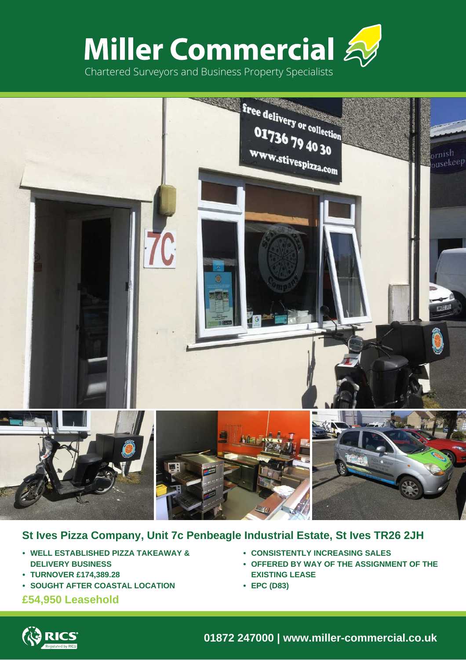



# **St Ives Pizza Company, Unit 7c Penbeagle Industrial Estate, St Ives TR26 2JH**

- **• WELL ESTABLISHED PIZZA TAKEAWAY & DELIVERY BUSINESS**
- **• TURNOVER £174,389.28**
- **• SOUGHT AFTER COASTAL LOCATION**

# **£54,950 Leasehold**

- **• CONSISTENTLY INCREASING SALES**
- **• OFFERED BY WAY OF THE ASSIGNMENT OF THE EXISTING LEASE**
- **• EPC (D83)**



**01872 247000 | www.miller-commercial.co.uk**